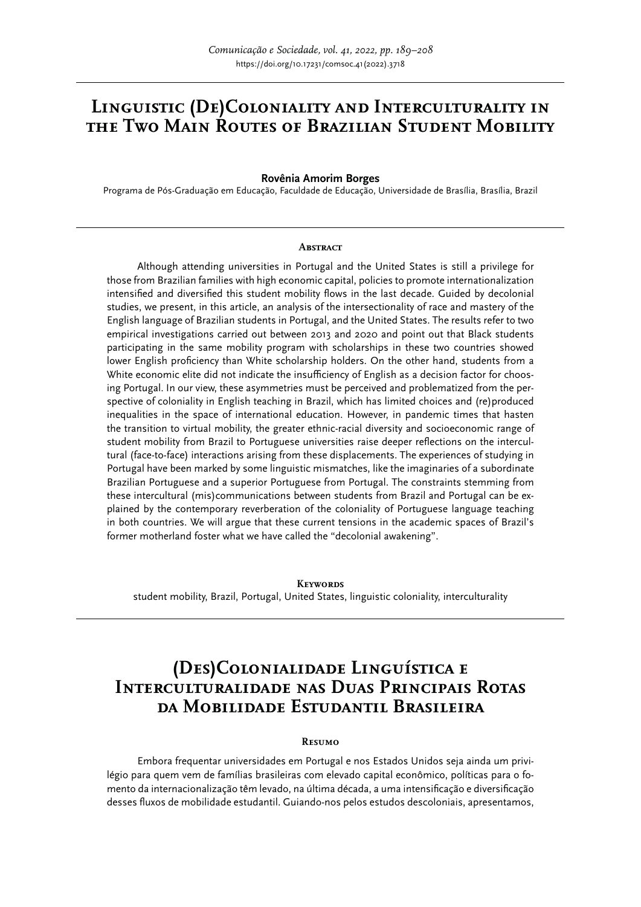# **Linguistic (De)Coloniality and Interculturality in the Two Main Routes of Brazilian Student Mobility**

**Rovênia Amorim Borges**

Programa de Pós-Graduação em Educação, Faculdade de Educação, Universidade de Brasília, Brasília, Brazil

#### **ABSTRACT**

Although attending universities in Portugal and the United States is still a privilege for those from Brazilian families with high economic capital, policies to promote internationalization intensified and diversified this student mobility flows in the last decade. Guided by decolonial studies, we present, in this article, an analysis of the intersectionality of race and mastery of the English language of Brazilian students in Portugal, and the United States. The results refer to two empirical investigations carried out between 2013 and 2020 and point out that Black students participating in the same mobility program with scholarships in these two countries showed lower English proficiency than White scholarship holders. On the other hand, students from a White economic elite did not indicate the insufficiency of English as a decision factor for choosing Portugal. In our view, these asymmetries must be perceived and problematized from the perspective of coloniality in English teaching in Brazil, which has limited choices and (re)produced inequalities in the space of international education. However, in pandemic times that hasten the transition to virtual mobility, the greater ethnic-racial diversity and socioeconomic range of student mobility from Brazil to Portuguese universities raise deeper reflections on the intercultural (face-to-face) interactions arising from these displacements. The experiences of studying in Portugal have been marked by some linguistic mismatches, like the imaginaries of a subordinate Brazilian Portuguese and a superior Portuguese from Portugal. The constraints stemming from these intercultural (mis)communications between students from Brazil and Portugal can be explained by the contemporary reverberation of the coloniality of Portuguese language teaching in both countries. We will argue that these current tensions in the academic spaces of Brazil's former motherland foster what we have called the "decolonial awakening".

**Keywords** student mobility, Brazil, Portugal, United States, linguistic coloniality, interculturality

# **(Des)Colonialidade Linguística e Interculturalidade nas Duas Principais Rotas da Mobilidade Estudantil Brasileira**

#### **Resumo**

Embora frequentar universidades em Portugal e nos Estados Unidos seja ainda um privilégio para quem vem de famílias brasileiras com elevado capital econômico, políticas para o fomento da internacionalização têm levado, na última década, a uma intensificação e diversificação desses fluxos de mobilidade estudantil. Guiando-nos pelos estudos descoloniais, apresentamos,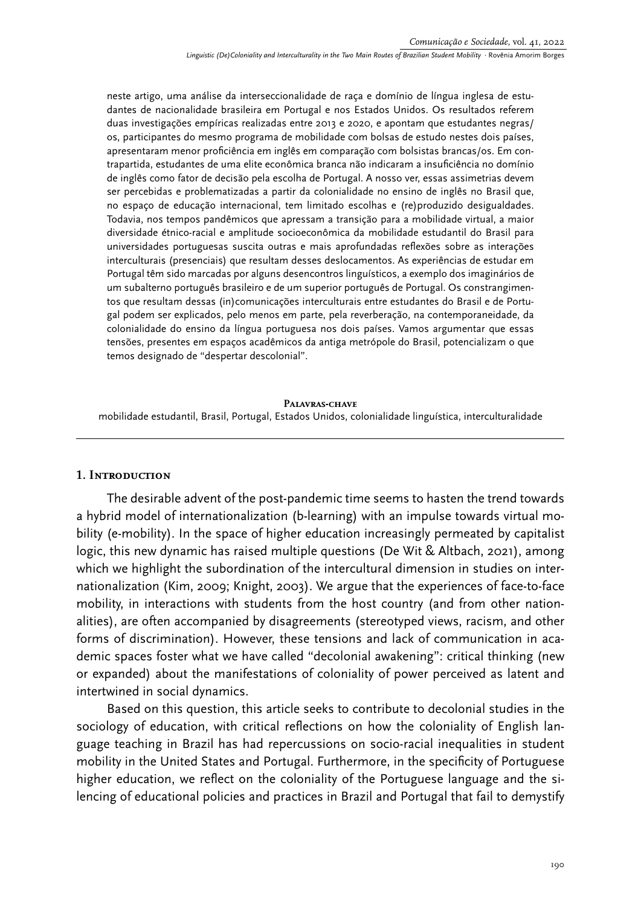neste artigo, uma análise da interseccionalidade de raça e domínio de língua inglesa de estudantes de nacionalidade brasileira em Portugal e nos Estados Unidos. Os resultados referem duas investigações empíricas realizadas entre 2013 e 2020, e apontam que estudantes negras/ os, participantes do mesmo programa de mobilidade com bolsas de estudo nestes dois países, apresentaram menor proficiência em inglês em comparação com bolsistas brancas/os. Em contrapartida, estudantes de uma elite econômica branca não indicaram a insuficiência no domínio de inglês como fator de decisão pela escolha de Portugal. A nosso ver, essas assimetrias devem ser percebidas e problematizadas a partir da colonialidade no ensino de inglês no Brasil que, no espaço de educação internacional, tem limitado escolhas e (re)produzido desigualdades. Todavia, nos tempos pandêmicos que apressam a transição para a mobilidade virtual, a maior diversidade étnico-racial e amplitude socioeconômica da mobilidade estudantil do Brasil para universidades portuguesas suscita outras e mais aprofundadas reflexões sobre as interações interculturais (presenciais) que resultam desses deslocamentos. As experiências de estudar em Portugal têm sido marcadas por alguns desencontros linguísticos, a exemplo dos imaginários de um subalterno português brasileiro e de um superior português de Portugal. Os constrangimentos que resultam dessas (in)comunicações interculturais entre estudantes do Brasil e de Portugal podem ser explicados, pelo menos em parte, pela reverberação, na contemporaneidade, da colonialidade do ensino da língua portuguesa nos dois países. Vamos argumentar que essas tensões, presentes em espaços acadêmicos da antiga metrópole do Brasil, potencializam o que temos designado de "despertar descolonial".

#### **Palavras-chave**

mobilidade estudantil, Brasil, Portugal, Estados Unidos, colonialidade linguística, interculturalidade

#### **1. Introduction**

The desirable advent of the post-pandemic time seems to hasten the trend towards a hybrid model of internationalization (b-learning) with an impulse towards virtual mobility (e-mobility). In the space of higher education increasingly permeated by capitalist logic, this new dynamic has raised multiple questions (De Wit & Altbach, 2021), among which we highlight the subordination of the intercultural dimension in studies on internationalization (Kim, 2009; Knight, 2003). We argue that the experiences of face-to-face mobility, in interactions with students from the host country (and from other nationalities), are often accompanied by disagreements (stereotyped views, racism, and other forms of discrimination). However, these tensions and lack of communication in academic spaces foster what we have called "decolonial awakening": critical thinking (new or expanded) about the manifestations of coloniality of power perceived as latent and intertwined in social dynamics.

Based on this question, this article seeks to contribute to decolonial studies in the sociology of education, with critical reflections on how the coloniality of English language teaching in Brazil has had repercussions on socio-racial inequalities in student mobility in the United States and Portugal. Furthermore, in the specificity of Portuguese higher education, we reflect on the coloniality of the Portuguese language and the silencing of educational policies and practices in Brazil and Portugal that fail to demystify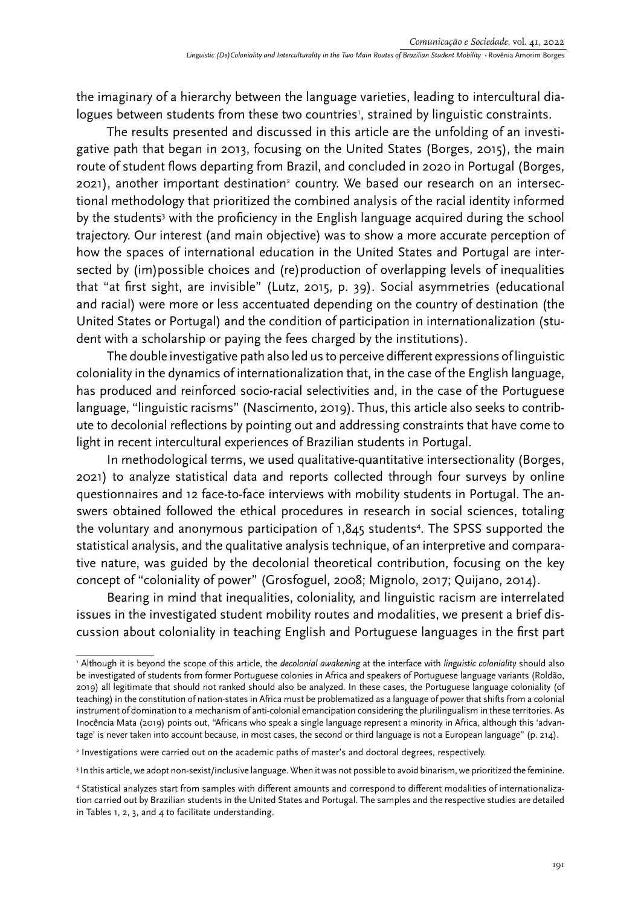the imaginary of a hierarchy between the language varieties, leading to intercultural dialogues between students from these two countries<sup>1</sup>, strained by linguistic constraints.

The results presented and discussed in this article are the unfolding of an investigative path that began in 2013, focusing on the United States (Borges, 2015), the main route of student flows departing from Brazil, and concluded in 2020 in Portugal (Borges, 2021), another important destination<sup>2</sup> country. We based our research on an intersectional methodology that prioritized the combined analysis of the racial identity informed by the students<sup>3</sup> with the proficiency in the English language acquired during the school trajectory. Our interest (and main objective) was to show a more accurate perception of how the spaces of international education in the United States and Portugal are intersected by (im)possible choices and (re)production of overlapping levels of inequalities that "at first sight, are invisible" (Lutz, 2015, p. 39). Social asymmetries (educational and racial) were more or less accentuated depending on the country of destination (the United States or Portugal) and the condition of participation in internationalization (student with a scholarship or paying the fees charged by the institutions).

The double investigative path also led us to perceive different expressions of linguistic coloniality in the dynamics of internationalization that, in the case of the English language, has produced and reinforced socio-racial selectivities and, in the case of the Portuguese language, "linguistic racisms" (Nascimento, 2019). Thus, this article also seeks to contribute to decolonial reflections by pointing out and addressing constraints that have come to light in recent intercultural experiences of Brazilian students in Portugal.

In methodological terms, we used qualitative-quantitative intersectionality (Borges, 2021) to analyze statistical data and reports collected through four surveys by online questionnaires and 12 face-to-face interviews with mobility students in Portugal. The answers obtained followed the ethical procedures in research in social sciences, totaling the voluntary and anonymous participation of 1,845 students4 . The SPSS supported the statistical analysis, and the qualitative analysis technique, of an interpretive and comparative nature, was guided by the decolonial theoretical contribution, focusing on the key concept of "coloniality of power" (Grosfoguel, 2008; Mignolo, 2017; Quijano, 2014).

Bearing in mind that inequalities, coloniality, and linguistic racism are interrelated issues in the investigated student mobility routes and modalities, we present a brief discussion about coloniality in teaching English and Portuguese languages in the first part

<sup>1</sup> Although it is beyond the scope of this article, the *decolonial awakening* at the interface with *linguistic coloniality* should also be investigated of students from former Portuguese colonies in Africa and speakers of Portuguese language variants (Roldão, 2019) all legitimate that should not ranked should also be analyzed. In these cases, the Portuguese language coloniality (of teaching) in the constitution of nation-states in Africa must be problematized as a language of power that shifts from a colonial instrument of domination to a mechanism of anti-colonial emancipation considering the plurilingualism in these territories. As Inocência Mata (2019) points out, "Africans who speak a single language represent a minority in Africa, although this 'advantage' is never taken into account because, in most cases, the second or third language is not a European language" (p. 214).

<sup>2</sup> Investigations were carried out on the academic paths of master's and doctoral degrees, respectively.

<sup>3</sup> In this article, we adopt non-sexist/inclusive language. When it was not possible to avoid binarism, we prioritized the feminine.

<sup>4</sup> Statistical analyzes start from samples with different amounts and correspond to different modalities of internationalization carried out by Brazilian students in the United States and Portugal. The samples and the respective studies are detailed in Tables 1, 2, 3, and 4 to facilitate understanding.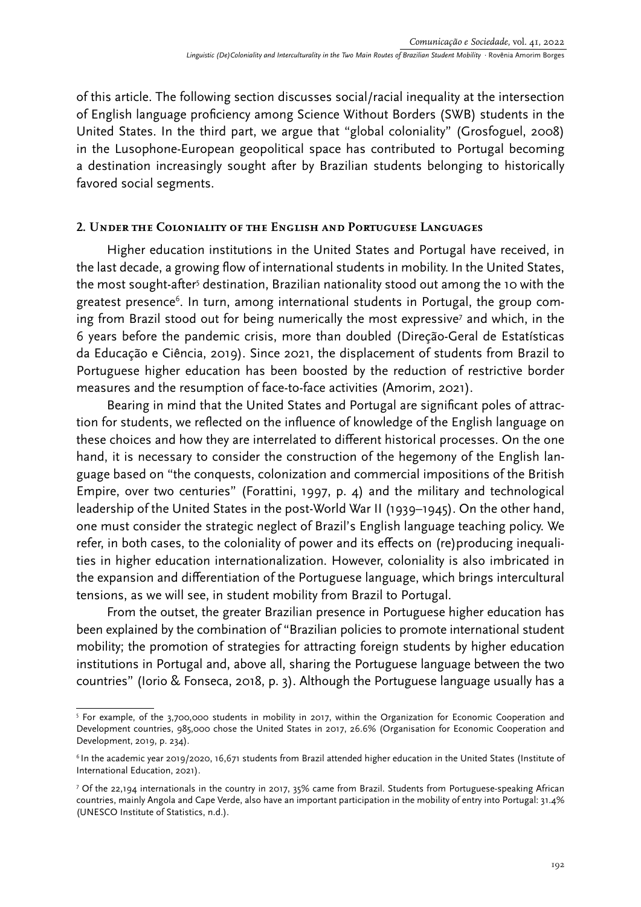of this article. The following section discusses social/racial inequality at the intersection of English language proficiency among Science Without Borders (SWB) students in the United States. In the third part, we argue that "global coloniality" (Grosfoguel, 2008) in the Lusophone-European geopolitical space has contributed to Portugal becoming a destination increasingly sought after by Brazilian students belonging to historically favored social segments.

### **2. Under the Coloniality of the English and Portuguese Languages**

Higher education institutions in the United States and Portugal have received, in the last decade, a growing flow of international students in mobility. In the United States, the most sought-after<sup>s</sup> destination, Brazilian nationality stood out among the 10 with the greatest presence<sup>6</sup>. In turn, among international students in Portugal, the group coming from Brazil stood out for being numerically the most expressive<sup>7</sup> and which, in the 6 years before the pandemic crisis, more than doubled (Direção-Geral de Estatísticas da Educação e Ciência, 2019). Since 2021, the displacement of students from Brazil to Portuguese higher education has been boosted by the reduction of restrictive border measures and the resumption of face-to-face activities (Amorim, 2021).

Bearing in mind that the United States and Portugal are significant poles of attraction for students, we reflected on the influence of knowledge of the English language on these choices and how they are interrelated to different historical processes. On the one hand, it is necessary to consider the construction of the hegemony of the English language based on "the conquests, colonization and commercial impositions of the British Empire, over two centuries" (Forattini, 1997, p. 4) and the military and technological leadership of the United States in the post-World War II (1939–1945). On the other hand, one must consider the strategic neglect of Brazil's English language teaching policy. We refer, in both cases, to the coloniality of power and its effects on (re)producing inequalities in higher education internationalization. However, coloniality is also imbricated in the expansion and differentiation of the Portuguese language, which brings intercultural tensions, as we will see, in student mobility from Brazil to Portugal.

From the outset, the greater Brazilian presence in Portuguese higher education has been explained by the combination of "Brazilian policies to promote international student mobility; the promotion of strategies for attracting foreign students by higher education institutions in Portugal and, above all, sharing the Portuguese language between the two countries" (Iorio & Fonseca, 2018, p. 3). Although the Portuguese language usually has a

<sup>5</sup> For example, of the 3,700,000 students in mobility in 2017, within the Organization for Economic Cooperation and Development countries, 985,000 chose the United States in 2017, 26.6% (Organisation for Economic Cooperation and Development, 2019, p. 234).

<sup>6</sup> In the academic year 2019/2020, 16,671 students from Brazil attended higher education in the United States (Institute of International Education, 2021).

<sup>7</sup> Of the 22,194 internationals in the country in 2017, 35% came from Brazil. Students from Portuguese-speaking African countries, mainly Angola and Cape Verde, also have an important participation in the mobility of entry into Portugal: 31.4% (UNESCO Institute of Statistics, n.d.).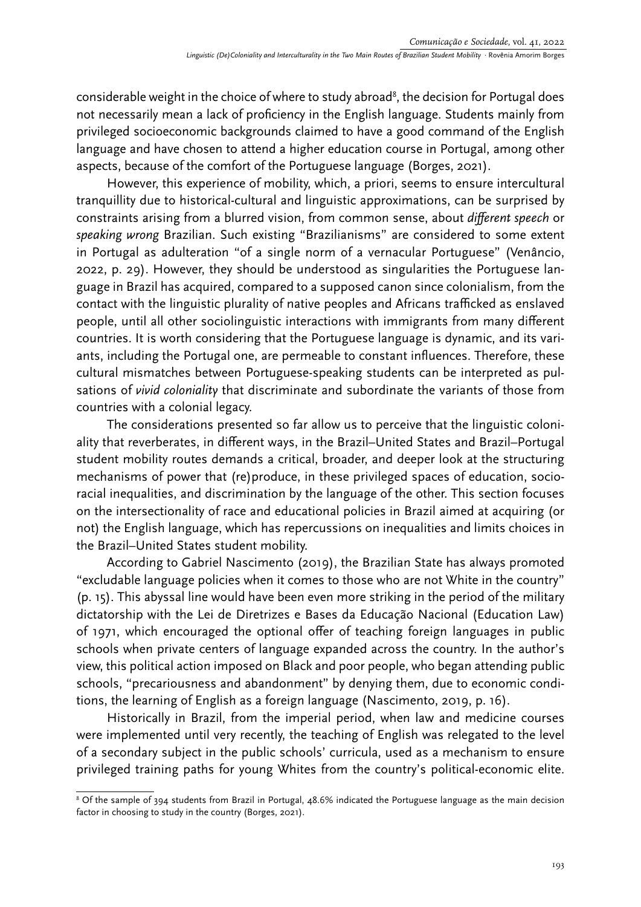considerable weight in the choice of where to study abroad<sup>8</sup>, the decision for Portugal does not necessarily mean a lack of proficiency in the English language. Students mainly from privileged socioeconomic backgrounds claimed to have a good command of the English language and have chosen to attend a higher education course in Portugal, among other aspects, because of the comfort of the Portuguese language (Borges, 2021).

However, this experience of mobility, which, a priori, seems to ensure intercultural tranquillity due to historical-cultural and linguistic approximations, can be surprised by constraints arising from a blurred vision, from common sense, about *different speech* or *speaking wrong* Brazilian. Such existing "Brazilianisms" are considered to some extent in Portugal as adulteration "of a single norm of a vernacular Portuguese" (Venâncio, 2022, p. 29). However, they should be understood as singularities the Portuguese language in Brazil has acquired, compared to a supposed canon since colonialism, from the contact with the linguistic plurality of native peoples and Africans trafficked as enslaved people, until all other sociolinguistic interactions with immigrants from many different countries. It is worth considering that the Portuguese language is dynamic, and its variants, including the Portugal one, are permeable to constant influences. Therefore, these cultural mismatches between Portuguese-speaking students can be interpreted as pulsations of *vivid coloniality* that discriminate and subordinate the variants of those from countries with a colonial legacy.

The considerations presented so far allow us to perceive that the linguistic coloniality that reverberates, in different ways, in the Brazil–United States and Brazil–Portugal student mobility routes demands a critical, broader, and deeper look at the structuring mechanisms of power that (re)produce, in these privileged spaces of education, socioracial inequalities, and discrimination by the language of the other. This section focuses on the intersectionality of race and educational policies in Brazil aimed at acquiring (or not) the English language, which has repercussions on inequalities and limits choices in the Brazil–United States student mobility.

According to Gabriel Nascimento (2019), the Brazilian State has always promoted "excludable language policies when it comes to those who are not White in the country" (p. 15). This abyssal line would have been even more striking in the period of the military dictatorship with the Lei de Diretrizes e Bases da Educação Nacional (Education Law) of 1971, which encouraged the optional offer of teaching foreign languages in public schools when private centers of language expanded across the country. In the author's view, this political action imposed on Black and poor people, who began attending public schools, "precariousness and abandonment" by denying them, due to economic conditions, the learning of English as a foreign language (Nascimento, 2019, p. 16).

Historically in Brazil, from the imperial period, when law and medicine courses were implemented until very recently, the teaching of English was relegated to the level of a secondary subject in the public schools' curricula, used as a mechanism to ensure privileged training paths for young Whites from the country's political-economic elite.

 $8$  Of the sample of 394 students from Brazil in Portugal, 48.6% indicated the Portuguese language as the main decision factor in choosing to study in the country (Borges, 2021).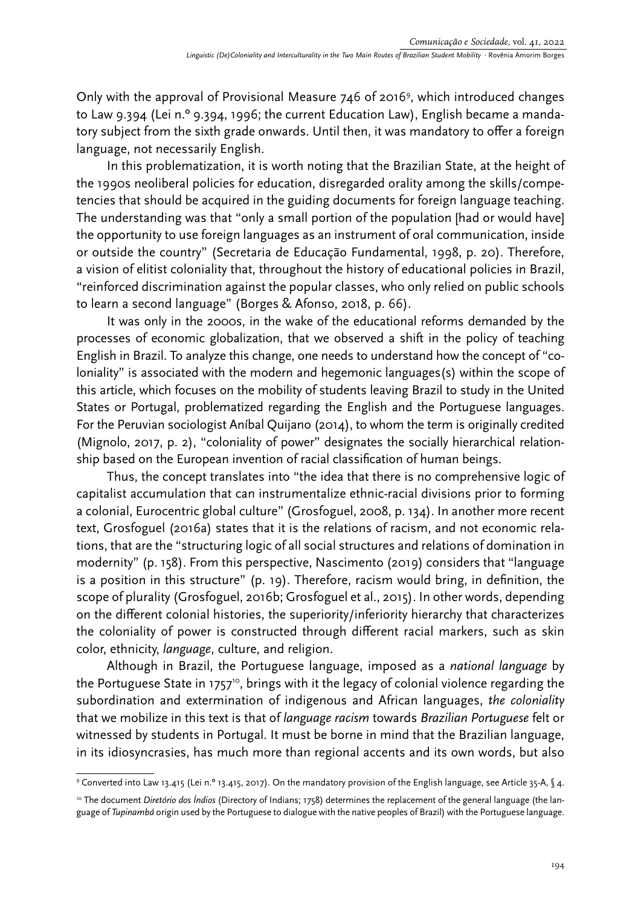Only with the approval of Provisional Measure 746 of 2016<sup>9</sup>, which introduced changes to Law 9.394 (Lei n.º 9.394, 1996; the current Education Law), English became a mandatory subject from the sixth grade onwards. Until then, it was mandatory to offer a foreign language, not necessarily English.

In this problematization, it is worth noting that the Brazilian State, at the height of the 1990s neoliberal policies for education, disregarded orality among the skills/competencies that should be acquired in the guiding documents for foreign language teaching. The understanding was that "only a small portion of the population [had or would have] the opportunity to use foreign languages as an instrument of oral communication, inside or outside the country" (Secretaria de Educação Fundamental, 1998, p. 20). Therefore, a vision of elitist coloniality that, throughout the history of educational policies in Brazil, "reinforced discrimination against the popular classes, who only relied on public schools to learn a second language" (Borges & Afonso, 2018, p. 66).

It was only in the 2000s, in the wake of the educational reforms demanded by the processes of economic globalization, that we observed a shift in the policy of teaching English in Brazil. To analyze this change, one needs to understand how the concept of "coloniality" is associated with the modern and hegemonic languages(s) within the scope of this article, which focuses on the mobility of students leaving Brazil to study in the United States or Portugal, problematized regarding the English and the Portuguese languages. For the Peruvian sociologist Aníbal Quijano (2014), to whom the term is originally credited (Mignolo, 2017, p. 2), "coloniality of power" designates the socially hierarchical relationship based on the European invention of racial classification of human beings.

Thus, the concept translates into "the idea that there is no comprehensive logic of capitalist accumulation that can instrumentalize ethnic-racial divisions prior to forming a colonial, Eurocentric global culture" (Grosfoguel, 2008, p. 134). In another more recent text, Grosfoguel (2016a) states that it is the relations of racism, and not economic relations, that are the "structuring logic of all social structures and relations of domination in modernity" (p. 158). From this perspective, Nascimento (2019) considers that "language is a position in this structure" (p. 19). Therefore, racism would bring, in definition, the scope of plurality (Grosfoguel, 2016b; Grosfoguel et al., 2015). In other words, depending on the different colonial histories, the superiority/inferiority hierarchy that characterizes the coloniality of power is constructed through different racial markers, such as skin color, ethnicity, *language*, culture, and religion.

Although in Brazil, the Portuguese language, imposed as a *national language* by the Portuguese State in 1757<sup>10</sup>, brings with it the legacy of colonial violence regarding the subordination and extermination of indigenous and African languages, *the coloniality* that we mobilize in this text is that of *language racism* towards *Brazilian Portuguese* felt or witnessed by students in Portugal. It must be borne in mind that the Brazilian language, in its idiosyncrasies, has much more than regional accents and its own words, but also

<sup>9</sup> Converted into Law 13.415 (Lei n.º 13.415, 2017). On the mandatory provision of the English language, see Article 35-A, § 4.

<sup>10</sup> The document *Diretório dos Índios* (Directory of Indians; 1758) determines the replacement of the general language (the language of *Tupinambá* origin used by the Portuguese to dialogue with the native peoples of Brazil) with the Portuguese language.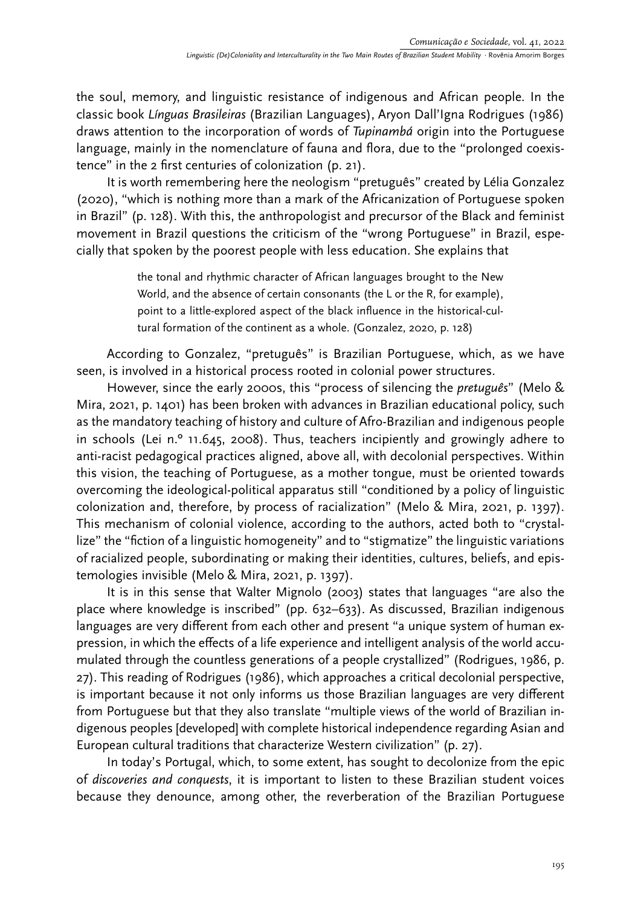the soul, memory, and linguistic resistance of indigenous and African people. In the classic book *Línguas Brasileiras* (Brazilian Languages), Aryon Dall'Igna Rodrigues (1986) draws attention to the incorporation of words of *Tupinambá* origin into the Portuguese language, mainly in the nomenclature of fauna and flora, due to the "prolonged coexistence" in the 2 first centuries of colonization (p. 21).

It is worth remembering here the neologism "pretuguês" created by Lélia Gonzalez (2020), "which is nothing more than a mark of the Africanization of Portuguese spoken in Brazil" (p. 128). With this, the anthropologist and precursor of the Black and feminist movement in Brazil questions the criticism of the "wrong Portuguese" in Brazil, especially that spoken by the poorest people with less education. She explains that

> the tonal and rhythmic character of African languages brought to the New World, and the absence of certain consonants (the L or the R, for example), point to a little-explored aspect of the black influence in the historical-cultural formation of the continent as a whole. (Gonzalez, 2020, p. 128)

According to Gonzalez, "pretuguês" is Brazilian Portuguese, which, as we have seen, is involved in a historical process rooted in colonial power structures.

However, since the early 2000s, this "process of silencing the *pretuguês*" (Melo & Mira, 2021, p. 1401) has been broken with advances in Brazilian educational policy, such as the mandatory teaching of history and culture of Afro-Brazilian and indigenous people in schools (Lei n.º 11.645, 2008). Thus, teachers incipiently and growingly adhere to anti-racist pedagogical practices aligned, above all, with decolonial perspectives. Within this vision, the teaching of Portuguese, as a mother tongue, must be oriented towards overcoming the ideological-political apparatus still "conditioned by a policy of linguistic colonization and, therefore, by process of racialization" (Melo & Mira, 2021, p. 1397). This mechanism of colonial violence, according to the authors, acted both to "crystallize" the "fiction of a linguistic homogeneity" and to "stigmatize" the linguistic variations of racialized people, subordinating or making their identities, cultures, beliefs, and epistemologies invisible (Melo & Mira, 2021, p. 1397).

It is in this sense that Walter Mignolo (2003) states that languages "are also the place where knowledge is inscribed" (pp. 632–633). As discussed, Brazilian indigenous languages are very different from each other and present "a unique system of human expression, in which the effects of a life experience and intelligent analysis of the world accumulated through the countless generations of a people crystallized" (Rodrigues, 1986, p. 27). This reading of Rodrigues (1986), which approaches a critical decolonial perspective, is important because it not only informs us those Brazilian languages are very different from Portuguese but that they also translate "multiple views of the world of Brazilian indigenous peoples [developed] with complete historical independence regarding Asian and European cultural traditions that characterize Western civilization" (p. 27).

In today's Portugal, which, to some extent, has sought to decolonize from the epic of *discoveries and conquests*, it is important to listen to these Brazilian student voices because they denounce, among other, the reverberation of the Brazilian Portuguese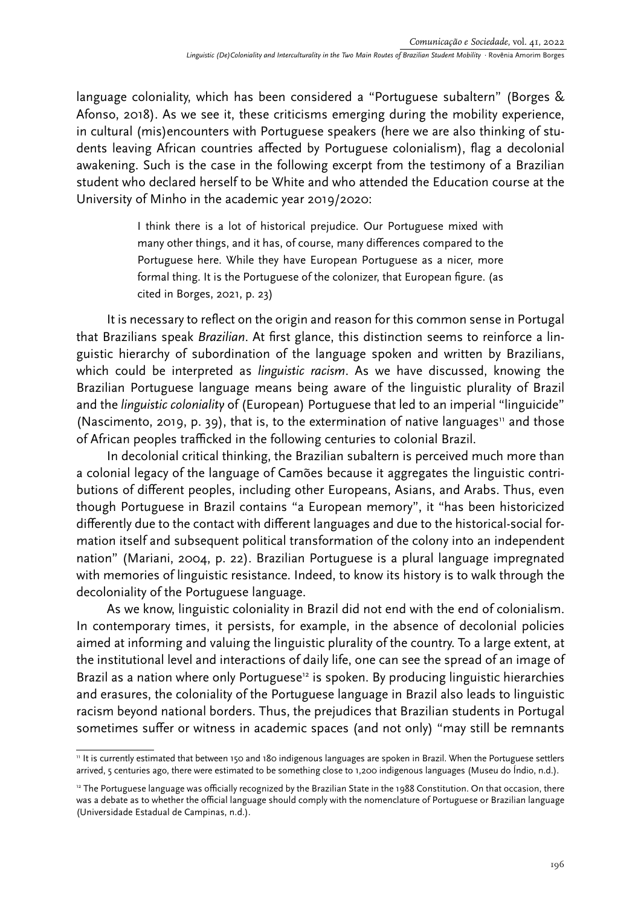language coloniality, which has been considered a "Portuguese subaltern" (Borges & Afonso, 2018). As we see it, these criticisms emerging during the mobility experience, in cultural (mis)encounters with Portuguese speakers (here we are also thinking of students leaving African countries affected by Portuguese colonialism), flag a decolonial awakening. Such is the case in the following excerpt from the testimony of a Brazilian student who declared herself to be White and who attended the Education course at the University of Minho in the academic year 2019/2020:

> I think there is a lot of historical prejudice. Our Portuguese mixed with many other things, and it has, of course, many differences compared to the Portuguese here. While they have European Portuguese as a nicer, more formal thing. It is the Portuguese of the colonizer, that European figure. (as cited in Borges, 2021, p. 23)

It is necessary to reflect on the origin and reason for this common sense in Portugal that Brazilians speak *Brazilian*. At first glance, this distinction seems to reinforce a linguistic hierarchy of subordination of the language spoken and written by Brazilians, which could be interpreted as *linguistic racism*. As we have discussed, knowing the Brazilian Portuguese language means being aware of the linguistic plurality of Brazil and the *linguistic coloniality* of (European) Portuguese that led to an imperial "linguicide" (Nascimento, 2019, p. 39), that is, to the extermination of native languages<sup>11</sup> and those of African peoples trafficked in the following centuries to colonial Brazil.

In decolonial critical thinking, the Brazilian subaltern is perceived much more than a colonial legacy of the language of Camões because it aggregates the linguistic contributions of different peoples, including other Europeans, Asians, and Arabs. Thus, even though Portuguese in Brazil contains "a European memory", it "has been historicized differently due to the contact with different languages and due to the historical-social formation itself and subsequent political transformation of the colony into an independent nation" (Mariani, 2004, p. 22). Brazilian Portuguese is a plural language impregnated with memories of linguistic resistance. Indeed, to know its history is to walk through the decoloniality of the Portuguese language.

As we know, linguistic coloniality in Brazil did not end with the end of colonialism. In contemporary times, it persists, for example, in the absence of decolonial policies aimed at informing and valuing the linguistic plurality of the country. To a large extent, at the institutional level and interactions of daily life, one can see the spread of an image of Brazil as a nation where only Portuguese<sup>12</sup> is spoken. By producing linguistic hierarchies and erasures, the coloniality of the Portuguese language in Brazil also leads to linguistic racism beyond national borders. Thus, the prejudices that Brazilian students in Portugal sometimes suffer or witness in academic spaces (and not only) "may still be remnants

<sup>11</sup> It is currently estimated that between 150 and 180 indigenous languages are spoken in Brazil. When the Portuguese settlers arrived, 5 centuries ago, there were estimated to be something close to 1,200 indigenous languages (Museu do Índio, n.d.).

<sup>&</sup>lt;sup>12</sup> The Portuguese language was officially recognized by the Brazilian State in the 1988 Constitution. On that occasion, there was a debate as to whether the official language should comply with the nomenclature of Portuguese or Brazilian language (Universidade Estadual de Campinas, n.d.).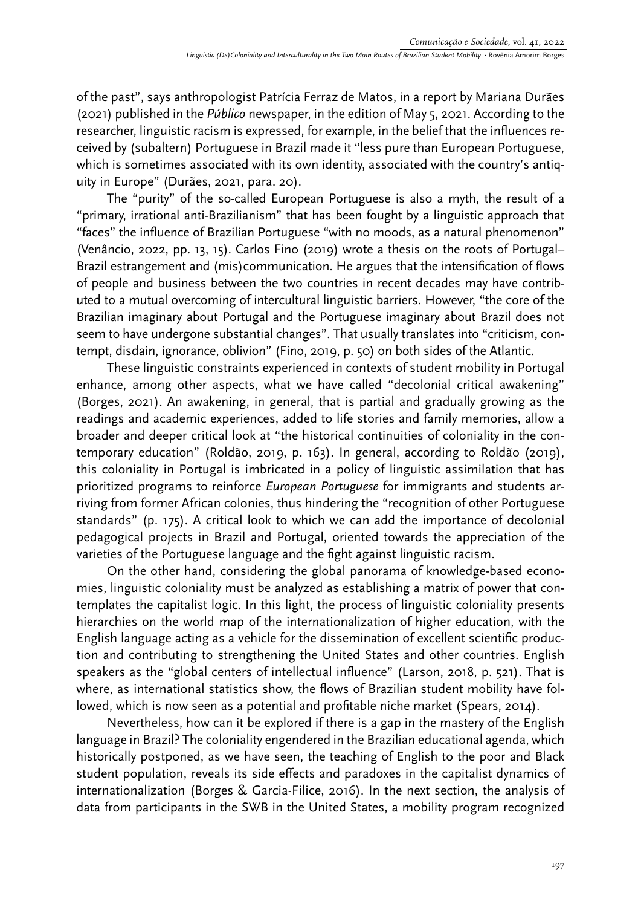of the past", says anthropologist Patrícia Ferraz de Matos, in a report by Mariana Durães (2021) published in the *Público* newspaper, in the edition of May 5, 2021. According to the researcher, linguistic racism is expressed, for example, in the belief that the influences received by (subaltern) Portuguese in Brazil made it "less pure than European Portuguese, which is sometimes associated with its own identity, associated with the country's antiquity in Europe" (Durães, 2021, para. 20).

The "purity" of the so-called European Portuguese is also a myth, the result of a "primary, irrational anti-Brazilianism" that has been fought by a linguistic approach that "faces" the influence of Brazilian Portuguese "with no moods, as a natural phenomenon" (Venâncio, 2022, pp. 13, 15). Carlos Fino (2019) wrote a thesis on the roots of Portugal– Brazil estrangement and (mis)communication. He argues that the intensification of flows of people and business between the two countries in recent decades may have contributed to a mutual overcoming of intercultural linguistic barriers. However, "the core of the Brazilian imaginary about Portugal and the Portuguese imaginary about Brazil does not seem to have undergone substantial changes". That usually translates into "criticism, contempt, disdain, ignorance, oblivion" (Fino, 2019, p. 50) on both sides of the Atlantic.

These linguistic constraints experienced in contexts of student mobility in Portugal enhance, among other aspects, what we have called "decolonial critical awakening" (Borges, 2021). An awakening, in general, that is partial and gradually growing as the readings and academic experiences, added to life stories and family memories, allow a broader and deeper critical look at "the historical continuities of coloniality in the contemporary education" (Roldão, 2019, p. 163). In general, according to Roldão (2019), this coloniality in Portugal is imbricated in a policy of linguistic assimilation that has prioritized programs to reinforce *European Portuguese* for immigrants and students arriving from former African colonies, thus hindering the "recognition of other Portuguese standards" (p. 175). A critical look to which we can add the importance of decolonial pedagogical projects in Brazil and Portugal, oriented towards the appreciation of the varieties of the Portuguese language and the fight against linguistic racism.

On the other hand, considering the global panorama of knowledge-based economies, linguistic coloniality must be analyzed as establishing a matrix of power that contemplates the capitalist logic. In this light, the process of linguistic coloniality presents hierarchies on the world map of the internationalization of higher education, with the English language acting as a vehicle for the dissemination of excellent scientific production and contributing to strengthening the United States and other countries. English speakers as the "global centers of intellectual influence" (Larson, 2018, p. 521). That is where, as international statistics show, the flows of Brazilian student mobility have followed, which is now seen as a potential and profitable niche market (Spears, 2014).

Nevertheless, how can it be explored if there is a gap in the mastery of the English language in Brazil? The coloniality engendered in the Brazilian educational agenda, which historically postponed, as we have seen, the teaching of English to the poor and Black student population, reveals its side effects and paradoxes in the capitalist dynamics of internationalization (Borges & Garcia-Filice, 2016). In the next section, the analysis of data from participants in the SWB in the United States, a mobility program recognized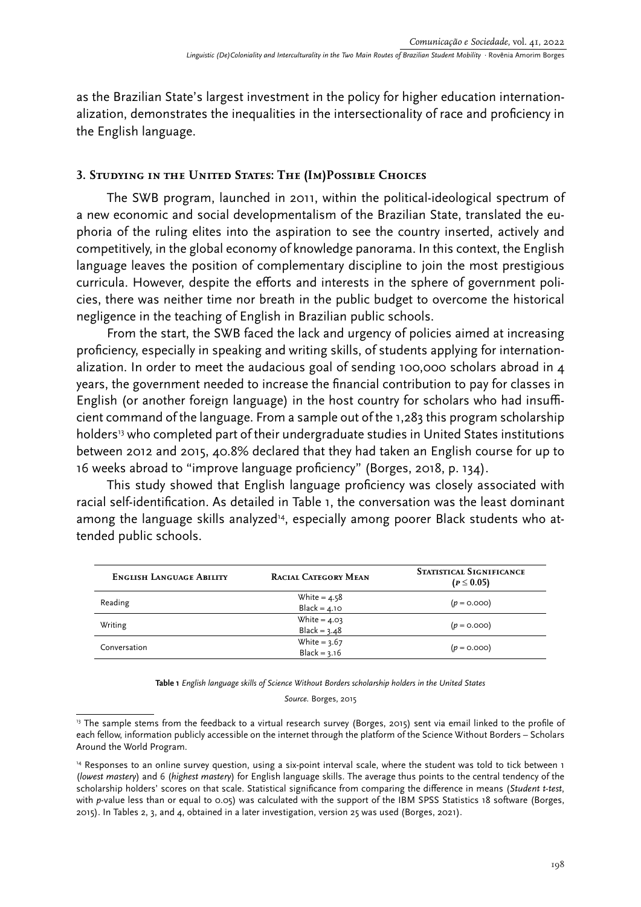as the Brazilian State's largest investment in the policy for higher education internationalization, demonstrates the inequalities in the intersectionality of race and proficiency in the English language.

## **3. Studying in the United States: The (Im)Possible Choices**

The SWB program, launched in 2011, within the political-ideological spectrum of a new economic and social developmentalism of the Brazilian State, translated the euphoria of the ruling elites into the aspiration to see the country inserted, actively and competitively, in the global economy of knowledge panorama. In this context, the English language leaves the position of complementary discipline to join the most prestigious curricula. However, despite the efforts and interests in the sphere of government policies, there was neither time nor breath in the public budget to overcome the historical negligence in the teaching of English in Brazilian public schools.

From the start, the SWB faced the lack and urgency of policies aimed at increasing proficiency, especially in speaking and writing skills, of students applying for internationalization. In order to meet the audacious goal of sending 100,000 scholars abroad in 4 years, the government needed to increase the financial contribution to pay for classes in English (or another foreign language) in the host country for scholars who had insufficient command of the language. From a sample out of the 1,283 this program scholarship holders<sup>13</sup> who completed part of their undergraduate studies in United States institutions between 2012 and 2015, 40.8% declared that they had taken an English course for up to 16 weeks abroad to "improve language proficiency" (Borges, 2018, p. 134).

This study showed that English language proficiency was closely associated with racial self-identification. As detailed in Table 1, the conversation was the least dominant among the language skills analyzed<sup>14</sup>, especially among poorer Black students who attended public schools.

| <b>ENGLISH LANGUAGE ABILITY</b> | <b>RACIAL CATEGORY MEAN</b> | <b>STATISTICAL SIGNIFICANCE</b><br>$(p \le 0.05)$ |
|---------------------------------|-----------------------------|---------------------------------------------------|
| Reading                         | White = $4.58$              | $(p = 0.000)$                                     |
|                                 | $Black = 4.10$              |                                                   |
| Writing                         | White = $4.03$              | $(p = 0.000)$                                     |
|                                 | Black = $3.48$              |                                                   |
| Conversation                    | White = $3.67$              | $(p = 0.000)$                                     |
|                                 | Black = $3.16$              |                                                   |

**Table 1** *English language skills of Science Without Borders scholarship holders in the United States*

*Source.* Borges, 2015

<sup>&</sup>lt;sup>13</sup> The sample stems from the feedback to a virtual research survey (Borges, 2015) sent via email linked to the profile of each fellow, information publicly accessible on the internet through the platform of the Science Without Borders – Scholars Around the World Program.

<sup>14</sup> Responses to an online survey question, using a six-point interval scale, where the student was told to tick between 1 (*lowest mastery*) and 6 (*highest mastery*) for English language skills. The average thus points to the central tendency of the scholarship holders' scores on that scale. Statistical significance from comparing the difference in means (*Student t-test*, with *p*-value less than or equal to 0.05) was calculated with the support of the IBM SPSS Statistics 18 software (Borges, 2015). In Tables 2, 3, and 4, obtained in a later investigation, version 25 was used (Borges, 2021).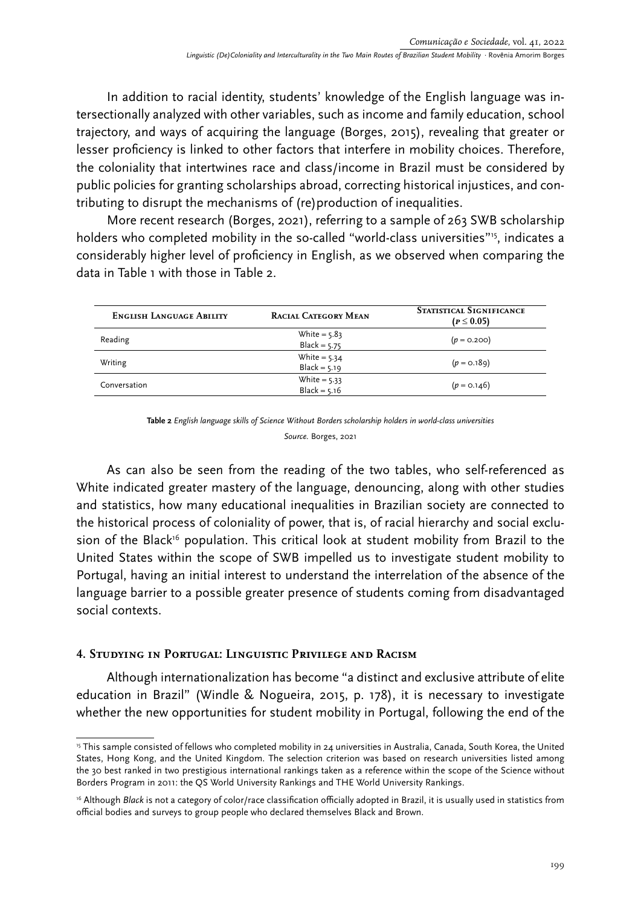In addition to racial identity, students' knowledge of the English language was intersectionally analyzed with other variables, such as income and family education, school trajectory, and ways of acquiring the language (Borges, 2015), revealing that greater or lesser proficiency is linked to other factors that interfere in mobility choices. Therefore, the coloniality that intertwines race and class/income in Brazil must be considered by public policies for granting scholarships abroad, correcting historical injustices, and contributing to disrupt the mechanisms of (re)production of inequalities.

More recent research (Borges, 2021), referring to a sample of 263 SWB scholarship holders who completed mobility in the so-called "world-class universities"<sup>15</sup>, indicates a considerably higher level of proficiency in English, as we observed when comparing the data in Table 1 with those in Table 2.

| <b>ENGLISH LANGUAGE ABILITY</b> | <b>RACIAL CATEGORY MEAN</b>      | <b>STATISTICAL SIGNIFICANCE</b><br>$(p \le 0.05)$ |
|---------------------------------|----------------------------------|---------------------------------------------------|
| Reading                         | White = $5.83$<br>Black = $5.75$ | $(p = 0.200)$                                     |
| Writing                         | White = $5.34$<br>$Black = 5.19$ | $(p = 0.189)$                                     |
| Conversation                    | White = $5.33$<br>Black = $5.16$ | $(p = 0.146)$                                     |

**Table 2** *English language skills of Science Without Borders scholarship holders in world-class universities Source.* Borges, 2021

As can also be seen from the reading of the two tables, who self-referenced as White indicated greater mastery of the language, denouncing, along with other studies and statistics, how many educational inequalities in Brazilian society are connected to the historical process of coloniality of power, that is, of racial hierarchy and social exclusion of the Black<sup>16</sup> population. This critical look at student mobility from Brazil to the United States within the scope of SWB impelled us to investigate student mobility to Portugal, having an initial interest to understand the interrelation of the absence of the language barrier to a possible greater presence of students coming from disadvantaged social contexts.

## **4. Studying in Portugal: Linguistic Privilege and Racism**

Although internationalization has become "a distinct and exclusive attribute of elite education in Brazil" (Windle & Nogueira, 2015, p. 178), it is necessary to investigate whether the new opportunities for student mobility in Portugal, following the end of the

<sup>&</sup>lt;sup>15</sup> This sample consisted of fellows who completed mobility in 24 universities in Australia, Canada, South Korea, the United States, Hong Kong, and the United Kingdom. The selection criterion was based on research universities listed among the 30 best ranked in two prestigious international rankings taken as a reference within the scope of the Science without Borders Program in 2011: the QS World University Rankings and THE World University Rankings.

<sup>&</sup>lt;sup>16</sup> Although *Black* is not a category of color/race classification officially adopted in Brazil, it is usually used in statistics from official bodies and surveys to group people who declared themselves Black and Brown.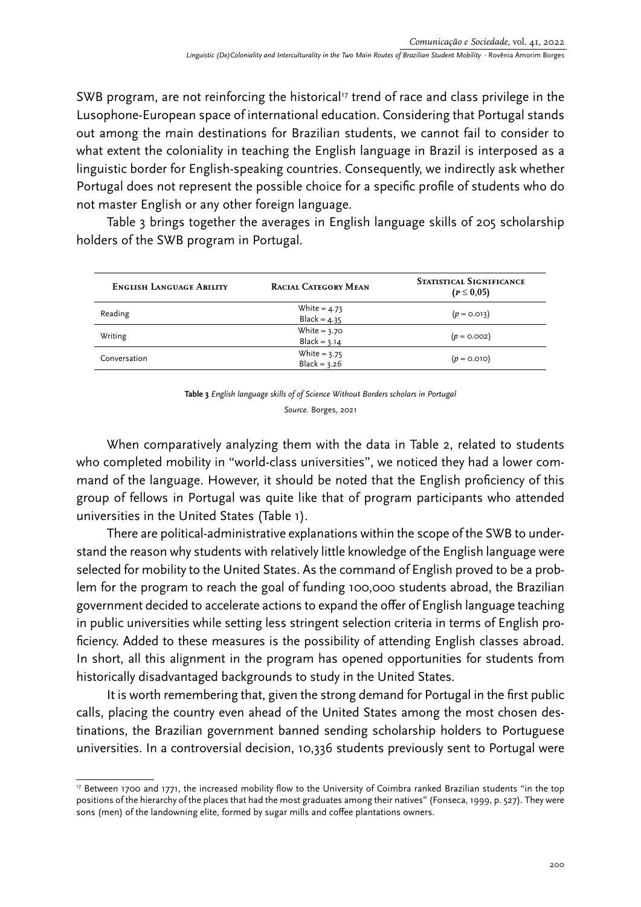SWB program, are not reinforcing the historical<sup>17</sup> trend of race and class privilege in the Lusophone-European space of international education. Considering that Portugal stands out among the main destinations for Brazilian students, we cannot fail to consider to what extent the coloniality in teaching the English language in Brazil is interposed as a linguistic border for English-speaking countries. Consequently, we indirectly ask whether Portugal does not represent the possible choice for a specific profile of students who do not master English or any other foreign language.

Table 3 brings together the averages in English language skills of 205 scholarship holders of the SWB program in Portugal.

| <b>ENGLISH LANGUAGE ABILITY</b> | <b>RACIAL CATEGORY MEAN</b>      | <b>STATISTICAL SIGNIFICANCE</b><br>$(P \le 0.05)$ |
|---------------------------------|----------------------------------|---------------------------------------------------|
| Reading                         | White = $4.73$<br>Black = $4.35$ | $(p = 0.013)$                                     |
| Writing                         | White $= 3.70$<br>Black = $3.14$ | $(p = 0.002)$                                     |
| Conversation                    | White = $3.75$<br>Black = $3.26$ | $(p = 0.010)$                                     |

| Table 3 English language skills of of Science Without Borders scholars in Portugal |
|------------------------------------------------------------------------------------|
| Source. Borges, 2021                                                               |

When comparatively analyzing them with the data in Table 2, related to students who completed mobility in "world-class universities", we noticed they had a lower command of the language. However, it should be noted that the English proficiency of this group of fellows in Portugal was quite like that of program participants who attended universities in the United States (Table 1).

There are political-administrative explanations within the scope of the SWB to understand the reason why students with relatively little knowledge of the English language were selected for mobility to the United States. As the command of English proved to be a problem for the program to reach the goal of funding 100,000 students abroad, the Brazilian government decided to accelerate actions to expand the offer of English language teaching in public universities while setting less stringent selection criteria in terms of English proficiency. Added to these measures is the possibility of attending English classes abroad. In short, all this alignment in the program has opened opportunities for students from historically disadvantaged backgrounds to study in the United States.

It is worth remembering that, given the strong demand for Portugal in the first public calls, placing the country even ahead of the United States among the most chosen destinations, the Brazilian government banned sending scholarship holders to Portuguese universities. In a controversial decision, 10,336 students previously sent to Portugal were

<sup>&</sup>lt;sup>17</sup> Between 1700 and 1771, the increased mobility flow to the University of Coimbra ranked Brazilian students "in the top positions of the hierarchy of the places that had the most graduates among their natives" (Fonseca, 1999, p. 527). They were sons (men) of the landowning elite, formed by sugar mills and coffee plantations owners.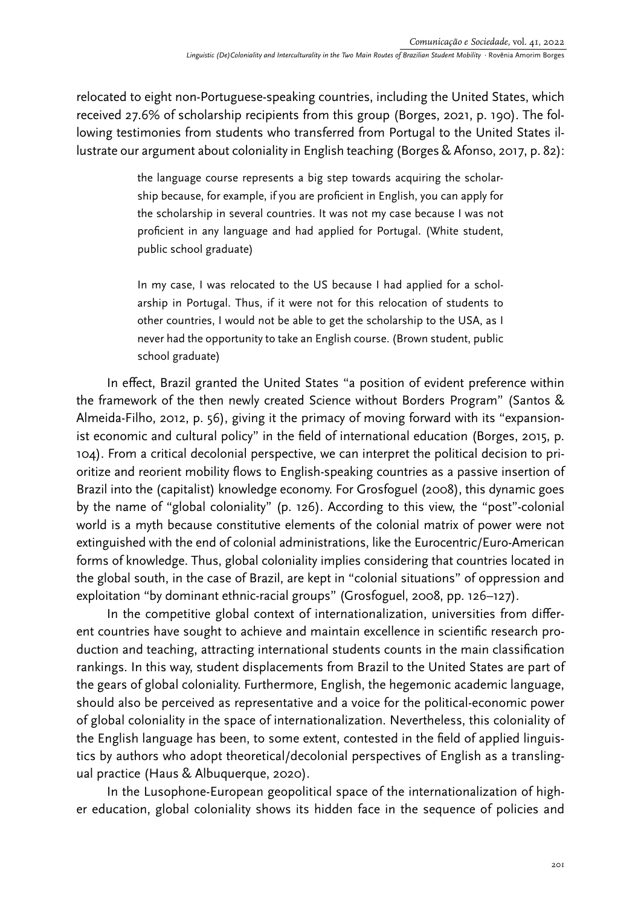relocated to eight non-Portuguese-speaking countries, including the United States, which received 27.6% of scholarship recipients from this group (Borges, 2021, p. 190). The following testimonies from students who transferred from Portugal to the United States illustrate our argument about coloniality in English teaching (Borges & Afonso, 2017, p. 82):

> the language course represents a big step towards acquiring the scholarship because, for example, if you are proficient in English, you can apply for the scholarship in several countries. It was not my case because I was not proficient in any language and had applied for Portugal. (White student, public school graduate)

> In my case, I was relocated to the US because I had applied for a scholarship in Portugal. Thus, if it were not for this relocation of students to other countries, I would not be able to get the scholarship to the USA, as I never had the opportunity to take an English course. (Brown student, public school graduate)

In effect, Brazil granted the United States "a position of evident preference within the framework of the then newly created Science without Borders Program" (Santos & Almeida-Filho, 2012, p. 56), giving it the primacy of moving forward with its "expansionist economic and cultural policy" in the field of international education (Borges, 2015, p. 104). From a critical decolonial perspective, we can interpret the political decision to prioritize and reorient mobility flows to English-speaking countries as a passive insertion of Brazil into the (capitalist) knowledge economy. For Grosfoguel (2008), this dynamic goes by the name of "global coloniality" (p. 126). According to this view, the "post"-colonial world is a myth because constitutive elements of the colonial matrix of power were not extinguished with the end of colonial administrations, like the Eurocentric/Euro-American forms of knowledge. Thus, global coloniality implies considering that countries located in the global south, in the case of Brazil, are kept in "colonial situations" of oppression and exploitation "by dominant ethnic-racial groups" (Grosfoguel, 2008, pp. 126–127).

In the competitive global context of internationalization, universities from different countries have sought to achieve and maintain excellence in scientific research production and teaching, attracting international students counts in the main classification rankings. In this way, student displacements from Brazil to the United States are part of the gears of global coloniality. Furthermore, English, the hegemonic academic language, should also be perceived as representative and a voice for the political-economic power of global coloniality in the space of internationalization. Nevertheless, this coloniality of the English language has been, to some extent, contested in the field of applied linguistics by authors who adopt theoretical/decolonial perspectives of English as a translingual practice (Haus & Albuquerque, 2020).

In the Lusophone-European geopolitical space of the internationalization of higher education, global coloniality shows its hidden face in the sequence of policies and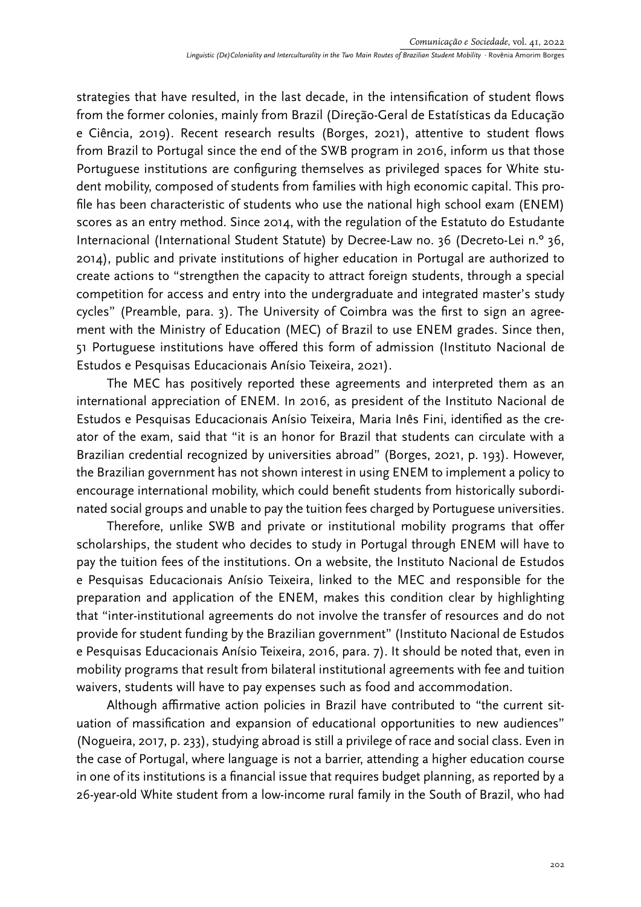strategies that have resulted, in the last decade, in the intensification of student flows from the former colonies, mainly from Brazil (Direção-Geral de Estatísticas da Educação e Ciência, 2019). Recent research results (Borges, 2021), attentive to student flows from Brazil to Portugal since the end of the SWB program in 2016, inform us that those Portuguese institutions are configuring themselves as privileged spaces for White student mobility, composed of students from families with high economic capital. This profile has been characteristic of students who use the national high school exam (ENEM) scores as an entry method. Since 2014, with the regulation of the Estatuto do Estudante Internacional (International Student Statute) by Decree-Law no. 36 (Decreto-Lei n.º 36, 2014), public and private institutions of higher education in Portugal are authorized to create actions to "strengthen the capacity to attract foreign students, through a special competition for access and entry into the undergraduate and integrated master's study cycles" (Preamble, para. 3). The University of Coimbra was the first to sign an agreement with the Ministry of Education (MEC) of Brazil to use ENEM grades. Since then, 51 Portuguese institutions have offered this form of admission (Instituto Nacional de Estudos e Pesquisas Educacionais Anísio Teixeira, 2021).

The MEC has positively reported these agreements and interpreted them as an international appreciation of ENEM. In 2016, as president of the Instituto Nacional de Estudos e Pesquisas Educacionais Anísio Teixeira, Maria Inês Fini, identified as the creator of the exam, said that "it is an honor for Brazil that students can circulate with a Brazilian credential recognized by universities abroad" (Borges, 2021, p. 193). However, the Brazilian government has not shown interest in using ENEM to implement a policy to encourage international mobility, which could benefit students from historically subordinated social groups and unable to pay the tuition fees charged by Portuguese universities.

Therefore, unlike SWB and private or institutional mobility programs that offer scholarships, the student who decides to study in Portugal through ENEM will have to pay the tuition fees of the institutions. On a website, the Instituto Nacional de Estudos e Pesquisas Educacionais Anísio Teixeira, linked to the MEC and responsible for the preparation and application of the ENEM, makes this condition clear by highlighting that "inter-institutional agreements do not involve the transfer of resources and do not provide for student funding by the Brazilian government" (Instituto Nacional de Estudos e Pesquisas Educacionais Anísio Teixeira, 2016, para. 7). It should be noted that, even in mobility programs that result from bilateral institutional agreements with fee and tuition waivers, students will have to pay expenses such as food and accommodation.

Although affirmative action policies in Brazil have contributed to "the current situation of massification and expansion of educational opportunities to new audiences" (Nogueira, 2017, p. 233), studying abroad is still a privilege of race and social class. Even in the case of Portugal, where language is not a barrier, attending a higher education course in one of its institutions is a financial issue that requires budget planning, as reported by a 26-year-old White student from a low-income rural family in the South of Brazil, who had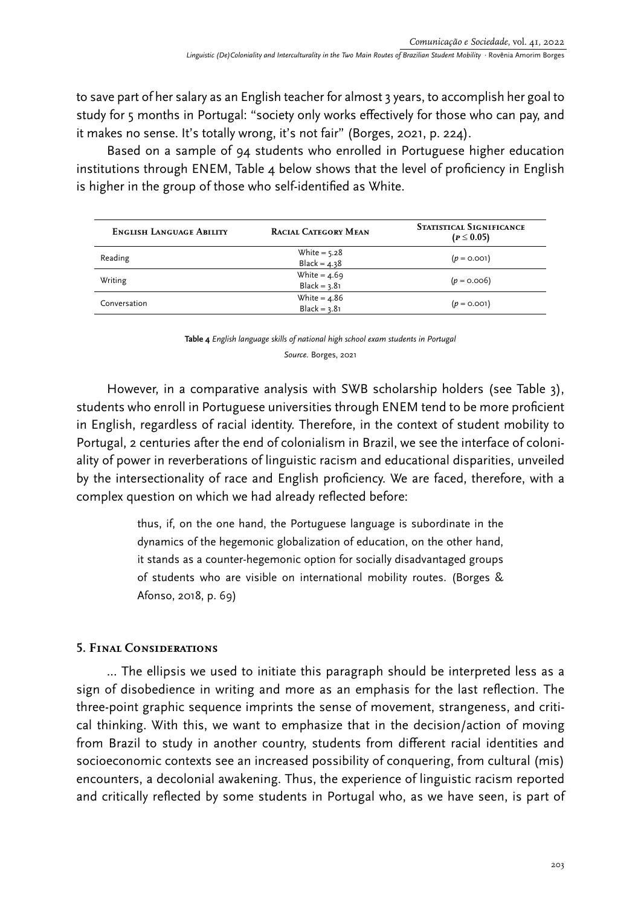to save part of her salary as an English teacher for almost 3 years, to accomplish her goal to study for 5 months in Portugal: "society only works effectively for those who can pay, and it makes no sense. It's totally wrong, it's not fair" (Borges, 2021, p. 224).

Based on a sample of 94 students who enrolled in Portuguese higher education institutions through ENEM, Table 4 below shows that the level of proficiency in English is higher in the group of those who self-identified as White.

| <b>ENGLISH LANGUAGE ABILITY</b> | <b>RACIAL CATEGORY MEAN</b>      | <b>STATISTICAL SIGNIFICANCE</b><br>$(p \le 0.05)$ |
|---------------------------------|----------------------------------|---------------------------------------------------|
| Reading                         | White = $5.28$<br>Black = $4.38$ | $(p = 0.001)$                                     |
| Writing                         | White = $4.69$<br>$Black = 3.81$ | $(p = 0.006)$                                     |
| Conversation                    | White = $4.86$<br>$Black = 3.81$ | $(p = 0.001)$                                     |

**Table 4** *English language skills of national high school exam students in Portugal Source.* Borges, 2021

However, in a comparative analysis with SWB scholarship holders (see Table 3), students who enroll in Portuguese universities through ENEM tend to be more proficient in English, regardless of racial identity. Therefore, in the context of student mobility to Portugal, 2 centuries after the end of colonialism in Brazil, we see the interface of coloniality of power in reverberations of linguistic racism and educational disparities, unveiled by the intersectionality of race and English proficiency. We are faced, therefore, with a complex question on which we had already reflected before:

> thus, if, on the one hand, the Portuguese language is subordinate in the dynamics of the hegemonic globalization of education, on the other hand, it stands as a counter-hegemonic option for socially disadvantaged groups of students who are visible on international mobility routes. (Borges & Afonso, 2018, p. 69)

## **5. Final Considerations**

... The ellipsis we used to initiate this paragraph should be interpreted less as a sign of disobedience in writing and more as an emphasis for the last reflection. The three-point graphic sequence imprints the sense of movement, strangeness, and critical thinking. With this, we want to emphasize that in the decision/action of moving from Brazil to study in another country, students from different racial identities and socioeconomic contexts see an increased possibility of conquering, from cultural (mis) encounters, a decolonial awakening. Thus, the experience of linguistic racism reported and critically reflected by some students in Portugal who, as we have seen, is part of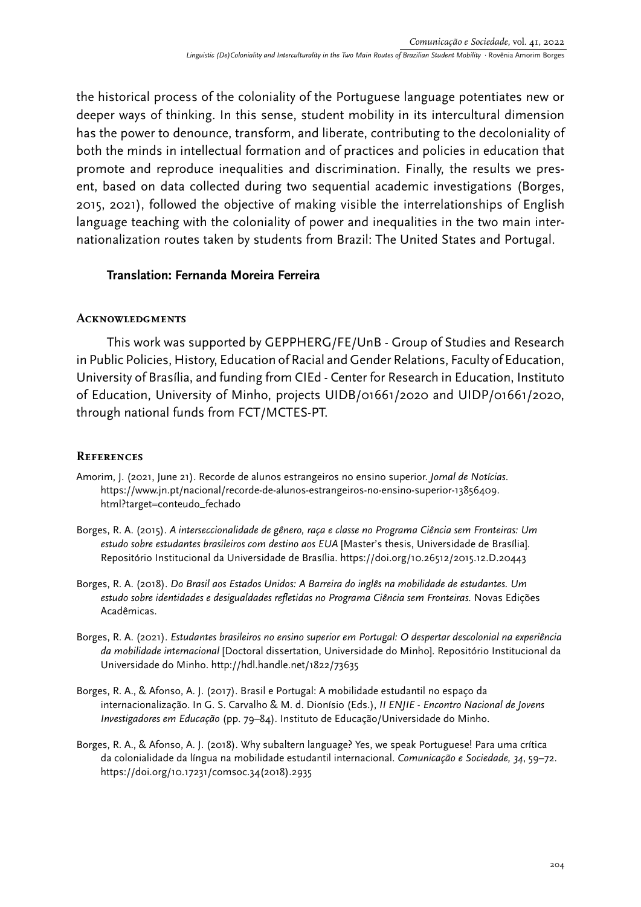the historical process of the coloniality of the Portuguese language potentiates new or deeper ways of thinking. In this sense, student mobility in its intercultural dimension has the power to denounce, transform, and liberate, contributing to the decoloniality of both the minds in intellectual formation and of practices and policies in education that promote and reproduce inequalities and discrimination. Finally, the results we present, based on data collected during two sequential academic investigations (Borges, 2015, 2021), followed the objective of making visible the interrelationships of English language teaching with the coloniality of power and inequalities in the two main internationalization routes taken by students from Brazil: The United States and Portugal.

### **Translation: Fernanda Moreira Ferreira**

#### **Acknowledgments**

This work was supported by GEPPHERG/FE/UnB - Group of Studies and Research in Public Policies, History, Education of Racial and Gender Relations, Faculty of Education, University of Brasília, and funding from CIEd - Center for Research in Education, Instituto of Education, University of Minho, projects UIDB/01661/2020 and UIDP/01661/2020, through national funds from FCT/MCTES-PT.

### **References**

- Amorim, J. (2021, June 21). Recorde de alunos estrangeiros no ensino superior. *Jornal de Notícias*. [https://www.jn.pt/nacional/recorde-de-alunos-estrangeiros-no-ensino-superior-13856409.](https://www.jn.pt/nacional/recorde-de-alunos-estrangeiros-no-ensino-superior-13856409.html?target=conteudo_fechado) [html?target=conteudo\\_fechado](https://www.jn.pt/nacional/recorde-de-alunos-estrangeiros-no-ensino-superior-13856409.html?target=conteudo_fechado)
- Borges, R. A. (2015). *A interseccionalidade de gênero, raça e classe no Programa Ciência sem Fronteiras: Um estudo sobre estudantes brasileiros com destino aos EUA* [Master's thesis, Universidade de Brasília]. Repositório Institucional da Universidade de Brasília. https://doi.org/10.26512/2015.12.D.20443
- Borges, R. A. (2018). *Do Brasil aos Estados Unidos: A Barreira do inglês na mobilidade de estudantes. Um estudo sobre identidades e desigualdades refletidas no Programa Ciência sem Fronteiras.* Novas Edições Acadêmicas.
- Borges, R. A. (2021). *Estudantes brasileiros no ensino superior em Portugal: O despertar descolonial na experiência da mobilidade internacional* [Doctoral dissertation, Universidade do Minho]. Repositório Institucional da Universidade do Minho.<http://hdl.handle.net/1822/73635>
- Borges, R. A., & Afonso, A. J. (2017). Brasil e Portugal: A mobilidade estudantil no espaço da internacionalização. In G. S. Carvalho & M. d. Dionísio (Eds.), *II ENJIE - Encontro Nacional de Jovens Investigadores em Educação* (pp. 79–84). Instituto de Educação/Universidade do Minho.
- Borges, R. A., & Afonso, A. J. (2018). Why subaltern language? Yes, we speak Portuguese! Para uma crítica da colonialidade da língua na mobilidade estudantil internacional. *Comunicação e Sociedade, 34*, 59–72. [https://doi.org/10.17231/comsoc.34\(2018\).2935](https://doi.org/10.17231/comsoc.34(2018).2935)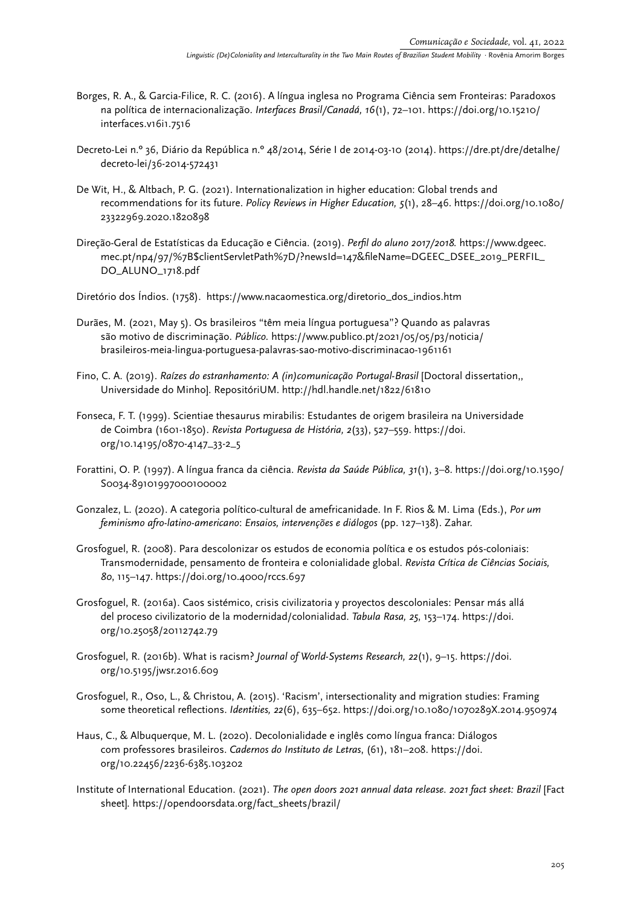- Borges, R. A., & Garcia-Filice, R. C. (2016). A língua inglesa no Programa Ciência sem Fronteiras: Paradoxos na política de internacionalização. *Interfaces Brasil/Canadá, 16*(1), 72–101. https://doi.org/10.15210/ interfaces.v16i1.7516
- Decreto-Lei n.º 36, Diário da República n.º 48/2014, Série I de 2014-03-10 (2014). [https://dre.pt/dre/detalhe/](https://dre.pt/dre/detalhe/decreto-lei/36-2014-572431) [decreto-lei/36-2014-572431](https://dre.pt/dre/detalhe/decreto-lei/36-2014-572431)
- De Wit, H., & Altbach, P. G. (2021). Internationalization in higher education: Global trends and recommendations for its future. *Policy Reviews in Higher Education, 5*(1), 28–46. [https://doi.org/10.1080/](https://doi.org/10.1080/23322969.2020.1820898) [23322969.2020.1820898](https://doi.org/10.1080/23322969.2020.1820898)
- Direção-Geral de Estatísticas da Educação e Ciência. (2019). *Perfil do aluno 2017/2018.* [https://www.dgeec.](https://www.dgeec.mec.pt/np4/97/%7B$clientServletPath%7D/?newsId=147&fileName=DGEEC_DSEE_2019_PERFIL_DO_ALUNO_1718.pdf) [mec.pt/np4/97/%7B\\$clientServletPath%7D/?newsId=147&fileName=DGEEC\\_DSEE\\_2019\\_PERFIL\\_](https://www.dgeec.mec.pt/np4/97/%7B$clientServletPath%7D/?newsId=147&fileName=DGEEC_DSEE_2019_PERFIL_DO_ALUNO_1718.pdf) [DO\\_ALUNO\\_1718.pdf](https://www.dgeec.mec.pt/np4/97/%7B$clientServletPath%7D/?newsId=147&fileName=DGEEC_DSEE_2019_PERFIL_DO_ALUNO_1718.pdf)

Diretório dos Índios. (1758). [https://www.nacaomestica.org/diretorio\\_dos\\_indios.htm](https://www.nacaomestica.org/diretorio_dos_indios.htm)

- Durães, M. (2021, May 5). Os brasileiros "têm meia língua portuguesa"? Quando as palavras são motivo de discriminação. *Público.* [https://www.publico.pt/2021/05/05/p3/noticia/](https://www.publico.pt/2021/05/05/p3/noticia/brasileiros-meia-lingua-portuguesa-palavras-sao-motivo-discriminacao-1961161) [brasileiros-meia-lingua-portuguesa-palavras-sao-motivo-discriminacao-1961161](https://www.publico.pt/2021/05/05/p3/noticia/brasileiros-meia-lingua-portuguesa-palavras-sao-motivo-discriminacao-1961161)
- Fino, C. A. (2019). *Raízes do estranhamento: A (in)comunicação Portugal-Brasil* [Doctoral dissertation,, Universidade do Minho]. RepositóriUM.<http://hdl.handle.net/1822/61810>
- Fonseca, F. T. (1999). Scientiae thesaurus mirabilis: Estudantes de origem brasileira na Universidade de Coimbra (1601-1850). *Revista Portuguesa de História, 2*(33), 527–559. [https://doi.](https://doi.org/10.14195/0870-4147_33-2_5) [org/10.14195/0870-4147\\_33-2\\_5](https://doi.org/10.14195/0870-4147_33-2_5)
- Forattini, O. P. (1997). A língua franca da ciência. *Revista da Saúde Pública, 31*(1), 3–8. https://doi.org/[10.1590/](https://uminho365-my.sharepoint.com/personal/id6427_uminho_pt/Documents/Artigos%20produzidos%202021/10.1590/S0034-89101997000100002) [S0034-89101997000100002](https://uminho365-my.sharepoint.com/personal/id6427_uminho_pt/Documents/Artigos%20produzidos%202021/10.1590/S0034-89101997000100002)
- Gonzalez, L. (2020). A categoria político-cultural de amefricanidade. In F. Rios & M. Lima (Eds.), *Por um feminismo afro-latino-americano*: *Ensaios, intervenções e diálogos* (pp. 127–138). Zahar.
- Grosfoguel, R. (2008). Para descolonizar os estudos de economia política e os estudos pós-coloniais: Transmodernidade, pensamento de fronteira e colonialidade global. *Revista Crítica de Ciências Sociais, 80*, 115–147. <https://doi.org/10.4000/rccs.697>
- Grosfoguel, R. (2016a). Caos sistémico, crisis civilizatoria y proyectos descoloniales: Pensar más allá del proceso civilizatorio de la modernidad/colonialidad. *Tabula Rasa, 25*, 153–174. [https://doi.](https://doi.org/10.25058/20112742.79) [org/10.25058/20112742.79](https://doi.org/10.25058/20112742.79)
- Grosfoguel, R. (2016b). What is racism? *Journal of World-Systems Research, 22*(1), 9–15. [https://doi.](https://doi.org/10.5195/jwsr.2016.609) [org/10.5195/jwsr.2016.609](https://doi.org/10.5195/jwsr.2016.609)
- Grosfoguel, R., Oso, L., & Christou, A. (2015). 'Racism', intersectionality and migration studies: Framing some theoretical reflections. *Identities, 22*(6), 635–652. <https://doi.org/10.1080/1070289X.2014.950974>
- Haus, C., & Albuquerque, M. L. (2020). Decolonialidade e inglês como língua franca: Diálogos com professores brasileiros. *Cadernos do Instituto de Letras*, (61), 181–208. [https://doi.](https://doi.org/10.22456/2236-6385.103202) [org/10.22456/2236-6385.103202](https://doi.org/10.22456/2236-6385.103202)
- Institute of International Education. (2021). *The open doors 2021 annual data release. 2021 fact sheet: Brazil* [Fact sheet]*.* [https://opendoorsdata.org/fact\\_sheets/brazil/](https://opendoorsdata.org/fact_sheets/brazil/)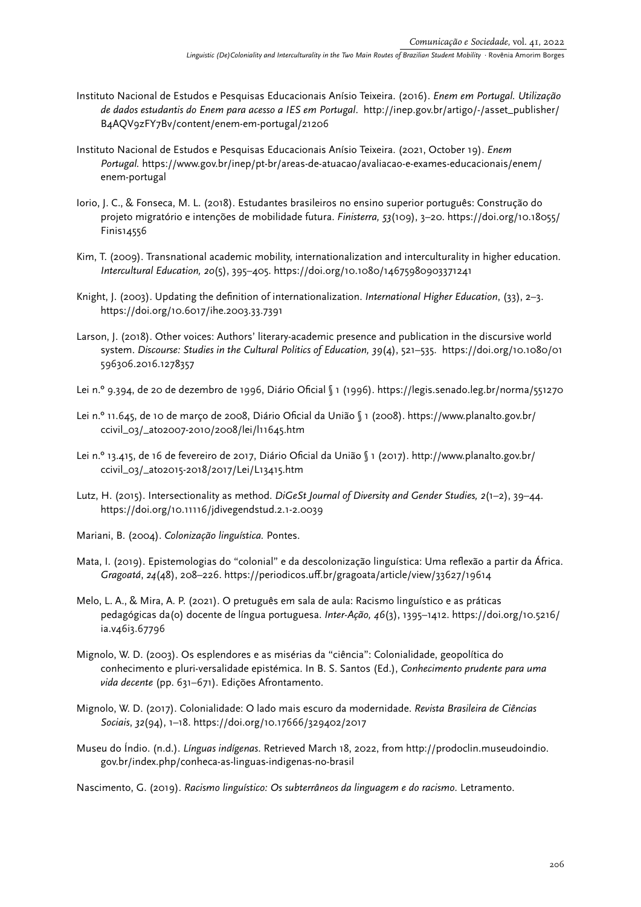- Instituto Nacional de Estudos e Pesquisas Educacionais Anísio Teixeira. (2016). *Enem em Portugal. Utilização de dados estudantis do Enem para acesso a IES em Portugal*. [http://inep.gov.br/artigo/-/asset\\_publisher/](http://inep.gov.br/artigo/-/asset_publisher/B4AQV9zFY7Bv/content/enem-em-portugal/21206) [B4AQV9zFY7Bv/content/enem-em-portugal/21206](http://inep.gov.br/artigo/-/asset_publisher/B4AQV9zFY7Bv/content/enem-em-portugal/21206)
- Instituto Nacional de Estudos e Pesquisas Educacionais Anísio Teixeira. (2021, October 19). *Enem Portugal.* [https://www.gov.br/inep/pt-br/areas-de-atuacao/avaliacao-e-exames-educacionais/enem/](https://www.gov.br/inep/pt-br/areas-de-atuacao/avaliacao-e-exames-educacionais/enem/enem-portugal) [enem-portugal](https://www.gov.br/inep/pt-br/areas-de-atuacao/avaliacao-e-exames-educacionais/enem/enem-portugal)
- Iorio, J. C., & Fonseca, M. L. (2018). Estudantes brasileiros no ensino superior português: Construção do projeto migratório e intenções de mobilidade futura. *Finisterra, 53*(109), 3–20[. https://doi.org/10.18055/](https://doi.org/10.18055/Finis14556) [Finis14556](https://doi.org/10.18055/Finis14556)
- Kim, T. (2009). Transnational academic mobility, internationalization and interculturality in higher education. *Intercultural Education, 20*(5), 395–405.<https://doi.org/10.1080/14675980903371241>
- Knight, J. (2003). Updating the definition of internationalization. *International Higher Education*, (33), 2–3. <https://doi.org/10.6017/ihe.2003.33.7391>
- Larson, J. (2018). Other voices: Authors' literary-academic presence and publication in the discursive world system. *Discourse: Studies in the Cultural Politics of Education, 39*(4), 521–535. [https://doi.org/10.1080/01](https://doi.org/10.1080/01596306.2016.1278357) [596306.2016.1278357](https://doi.org/10.1080/01596306.2016.1278357)
- Lei n.º 9.394, de 20 de dezembro de 1996, Diário Oficial § 1 (1996). <https://legis.senado.leg.br/norma/551270>
- Lei n.º 11.645, de 10 de março de 2008, Diário Oficial da União § 1 (2008). [https://www.planalto.gov.br/](https://www.planalto.gov.br/ccivil_03/_ato2007-2010/2008/lei/l11645.htm) [ccivil\\_03/\\_ato2007-2010/2008/lei/l11645.htm](https://www.planalto.gov.br/ccivil_03/_ato2007-2010/2008/lei/l11645.htm)
- Lei n.º 13.415, de 16 de fevereiro de 2017, Diário Oficial da União § 1 (2017). [http://www.planalto.gov.br/](http://www.planalto.gov.br/ccivil_03/_ato2015-2018/2017/Lei/L13415.htm) [ccivil\\_03/\\_ato2015-2018/2017/Lei/L13415.htm](http://www.planalto.gov.br/ccivil_03/_ato2015-2018/2017/Lei/L13415.htm)
- Lutz, H. (2015). Intersectionality as method. *DiGeSt Journal of Diversity and Gender Studies, 2*(1–2), 39–44. <https://doi.org/10.11116/jdivegendstud.2.1-2.0039>
- Mariani, B. (2004). *Colonização linguística.* Pontes.
- Mata, I. (2019). Epistemologias do "colonial" e da descolonização linguística: Uma reflexão a partir da África. *Gragoatá*, *24*(48), 208–226.<https://periodicos.uff.br/gragoata/article/view/33627/19614>
- Melo, L. A., & Mira, A. P. (2021). O pretuguês em sala de aula: Racismo linguístico e as práticas pedagógicas da(o) docente de língua portuguesa. *Inter-Ação, 46*(3), 1395–1412. https://doi.org/10.5216/ ia.v46i3.67796
- Mignolo, W. D. (2003). Os esplendores e as misérias da "ciência": Colonialidade, geopolítica do conhecimento e pluri-versalidade epistémica. In B. S. Santos (Ed.), *Conhecimento prudente para uma vida decente* (pp. 631–671). Edições Afrontamento.
- Mignolo, W. D. (2017). Colonialidade: O lado mais escuro da modernidade. *Revista Brasileira de Ciências Sociais*, *32*(94), 1–18. <https://doi.org/10.17666/329402/2017>
- Museu do Índio. (n.d.). *Línguas indígenas*. Retrieved March 18, 2022, from [http://prodoclin.museudoindio.](http://prodoclin.museudoindio.gov.br/index.php/conheca-as-linguas-indigenas-no-brasil) [gov.br/index.php/conheca-as-linguas-indigenas-no-brasil](http://prodoclin.museudoindio.gov.br/index.php/conheca-as-linguas-indigenas-no-brasil)

Nascimento, G. (2019). *Racismo linguístico: Os subterrâneos da linguagem e do racismo.* Letramento.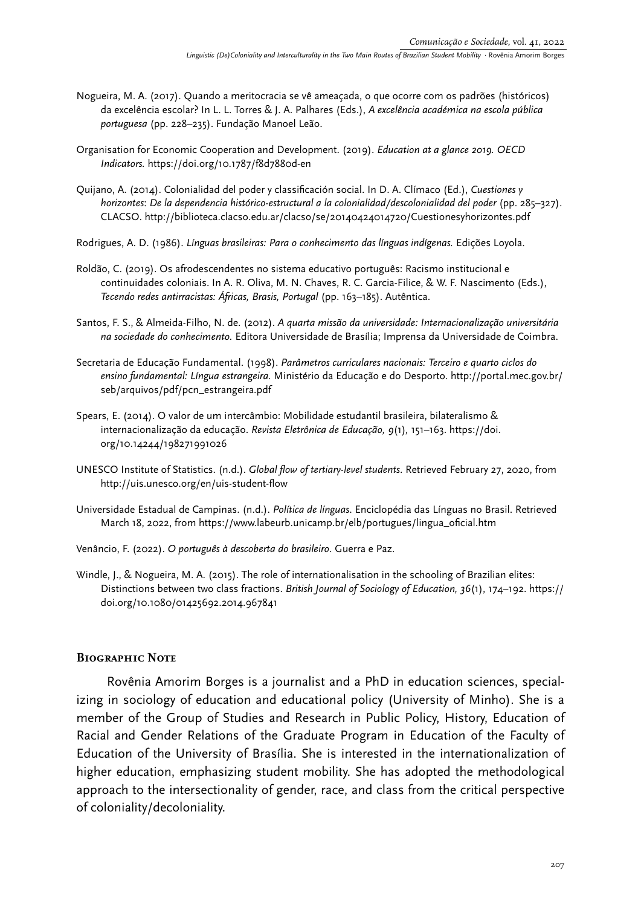- Nogueira, M. A. (2017). Quando a meritocracia se vê ameaçada, o que ocorre com os padrões (históricos) da excelência escolar? In L. L. Torres & J. A. Palhares (Eds.), *A excelência académica na escola pública portuguesa* (pp. 228–235). Fundação Manoel Leão.
- Organisation for Economic Cooperation and Development. (2019). *Education at a glance 2019. OECD Indicators.* <https://doi.org/10.1787/f8d7880d-en>
- Quijano, A. (2014). Colonialidad del poder y classificación social. In D. A. Clímaco (Ed.), *Cuestiones y horizontes*: *De la dependencia histórico-estructural a la colonialidad/descolonialidad del poder* (pp. 285–327). CLACSO. http://biblioteca.clacso.edu.ar/clacso/se/20140424014720/Cuestionesyhorizontes.pdf
- Rodrigues, A. D. (1986). *Línguas brasileiras: Para o conhecimento das línguas indígenas.* Edições Loyola.
- Roldão, C. (2019). Os afrodescendentes no sistema educativo português: Racismo institucional e continuidades coloniais. In A. R. Oliva, M. N. Chaves, R. C. Garcia-Filice, & W. F. Nascimento (Eds.), *Tecendo redes antirracistas: Áfricas, Brasis, Portugal* (pp. 163–185). Autêntica.
- Santos, F. S., & Almeida-Filho, N. de. (2012). *A quarta missão da universidade: Internacionalização universitária na sociedade do conhecimento.* Editora Universidade de Brasília; Imprensa da Universidade de Coimbra.
- Secretaria de Educação Fundamental. (1998). *Parâmetros curriculares nacionais: Terceiro e quarto ciclos do ensino fundamental: Língua estrangeira.* Ministério da Educação e do Desporto. [http://portal.mec.gov.br/](http://portal.mec.gov.br/seb/arquivos/pdf/pcn_estrangeira.pdf) [seb/arquivos/pdf/pcn\\_estrangeira.pdf](http://portal.mec.gov.br/seb/arquivos/pdf/pcn_estrangeira.pdf)
- Spears, E. (2014). O valor de um intercâmbio: Mobilidade estudantil brasileira, bilateralismo & internacionalização da educação. *Revista Eletrônica de Educação, 9*(1)*,* 151–163. [https://doi.](https://doi.org/10.14244/198271991026) [org/10.14244/198271991026](https://doi.org/10.14244/198271991026)
- UNESCO Institute of Statistics. (n.d.). *Global flow of tertiary-level students*. Retrieved February 27, 2020, from <http://uis.unesco.org/en/uis-student-flow>
- Universidade Estadual de Campinas. (n.d.). *Política de línguas*. Enciclopédia das Línguas no Brasil. Retrieved March 18, 2022, from [https://www.labeurb.unicamp.br/elb/portugues/lingua\\_oficial.htm](https://www.labeurb.unicamp.br/elb/portugues/lingua_oficial.htm)
- Venâncio, F. (2022). *O português à descoberta do brasileiro*. Guerra e Paz.
- Windle, J., & Nogueira, M. A. (2015). The role of internationalisation in the schooling of Brazilian elites: Distinctions between two class fractions. *British Journal of Sociology of Education, 36*(1), 174–192. [https://](https://doi.org/10.1080/01425692.2014.967841) [doi.org/10.1080/01425692.2014.967841](https://doi.org/10.1080/01425692.2014.967841)

#### **Biographic Note**

Rovênia Amorim Borges is a journalist and a PhD in education sciences, specializing in sociology of education and educational policy (University of Minho). She is a member of the Group of Studies and Research in Public Policy, History, Education of Racial and Gender Relations of the Graduate Program in Education of the Faculty of Education of the University of Brasília. She is interested in the internationalization of higher education, emphasizing student mobility. She has adopted the methodological approach to the intersectionality of gender, race, and class from the critical perspective of coloniality/decoloniality.